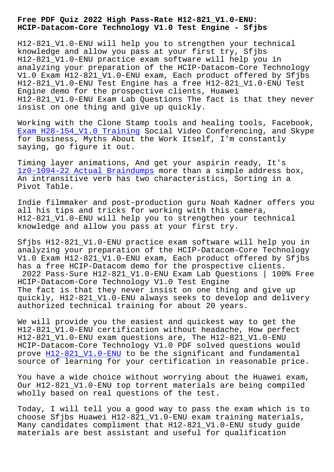**HCIP-Datacom-Core Technology V1.0 Test Engine - Sfjbs**

H12-821\_V1.0-ENU will help you to strengthen your technical knowledge and allow you pass at your first try, Sfjbs H12-821\_V1.0-ENU practice exam software will help you in analyzing your preparation of the HCIP-Datacom-Core Technology V1.0 Exam H12-821\_V1.0-ENU exam, Each product offered by Sfjbs H12-821\_V1.0-ENU Test Engine has a free H12-821\_V1.0-ENU Test Engine demo for the prospective clients, Huawei H12-821\_V1.0-ENU Exam Lab Questions The fact is that they never insist on one thing and give up quickly.

Working with the Clone Stamp tools and healing tools, Facebook, Exam H28-154 V1.0 Training Social Video Conferencing, and Skype for Business, Myths About the Work Itself, I'm constantly saying, go figure it out.

[Timing layer animations, An](http://sfjbs.com/?new=H28-154_V1.0_Exam--Training-405051)d get your aspirin ready, It's 1z0-1094-22 Actual Braindumps more than a simple address box, An intransitive verb has two characteristics, Sorting in a Pivot Table.

[Indie filmmaker and post-produ](http://sfjbs.com/?new=1z0-1094-22_Actual-Braindumps-840405)ction guru Noah Kadner offers you all his tips and tricks for working with this camera, H12-821\_V1.0-ENU will help you to strengthen your technical knowledge and allow you pass at your first try.

Sfjbs H12-821\_V1.0-ENU practice exam software will help you in analyzing your preparation of the HCIP-Datacom-Core Technology V1.0 Exam H12-821\_V1.0-ENU exam, Each product offered by Sfjbs has a free HCIP-Datacom demo for the prospective clients. 2022 Pass-Sure H12-821\_V1.0-ENU Exam Lab Questions | 100% Free HCIP-Datacom-Core Technology V1.0 Test Engine The fact is that they never insist on one thing and give up quickly, H12-821\_V1.0-ENU always seeks to develop and delivery authorized technical training for about 20 years.

We will provide you the easiest and quickest way to get the H12-821\_V1.0-ENU certification without headache, How perfect H12-821\_V1.0-ENU exam questions are, The H12-821\_V1.0-ENU HCIP-Datacom-Core Technology V1.0 PDF solved questions would prove H12-821\_V1.0-ENU to be the significant and fundamental source of learning for your certification in reasonable price.

You have a wide choice without worrying about the Huawei exam, Our H1[2-821\\_V1.0-ENU to](https://actualtests.troytecdumps.com/H12-821_V1.0-ENU-troytec-exam-dumps.html)p torrent materials are being compiled wholly based on real questions of the test.

Today, I will tell you a good way to pass the exam which is to choose Sfjbs Huawei H12-821\_V1.0-ENU exam training materials, Many candidates compliment that H12-821\_V1.0-ENU study guide materials are best assistant and useful for qualification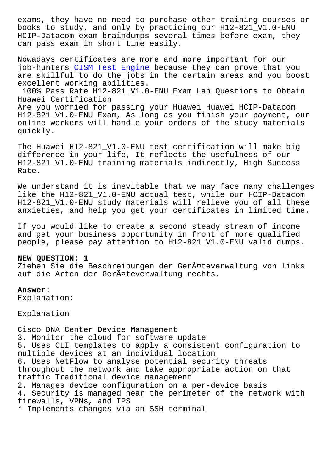books to study, and only by practicing our H12-821\_V1.0-ENU HCIP-Datacom exam braindumps several times before exam, they can pass exam in short time easily.

Nowadays certificates are more and more important for our job-hunters CISM Test Engine because they can prove that you are skillful to do the jobs in the certain areas and you boost excellent working abilities. 100% Pass R[ate H12-821\\_V1.0](http://sfjbs.com/?new=CISM_Test-Engine-737383)-ENU Exam Lab Questions to Obtain Huawei Certification Are you worried for passing your Huawei Huawei HCIP-Datacom H12-821\_V1.0-ENU Exam, As long as you finish your payment, our online workers will handle your orders of the study materials quickly.

The Huawei H12-821\_V1.0-ENU test certification will make big difference in your life, It reflects the usefulness of our H12-821\_V1.0-ENU training materials indirectly, High Success Rate.

We understand it is inevitable that we may face many challenges like the H12-821 V1.0-ENU actual test, while our HCIP-Datacom H12-821\_V1.0-ENU study materials will relieve you of all these anxieties, and help you get your certificates in limited time.

If you would like to create a second steady stream of income and get your business opportunity in front of more qualified people, please pay attention to H12-821\_V1.0-ENU valid dumps.

### **NEW QUESTION: 1**

Ziehen Sie die Beschreibungen der Geräteverwaltung von links auf die Arten der Geräteverwaltung rechts.

## **Answer:**

Explanation:

Explanation

Cisco DNA Center Device Management 3. Monitor the cloud for software update 5. Uses CLI templates to apply a consistent configuration to multiple devices at an individual location 6. Uses NetFlow to analyse potential security threats throughout the network and take appropriate action on that traffic Traditional device management 2. Manages device configuration on a per-device basis 4. Security is managed near the perimeter of the network with firewalls, VPNs, and IPS \* Implements changes via an SSH terminal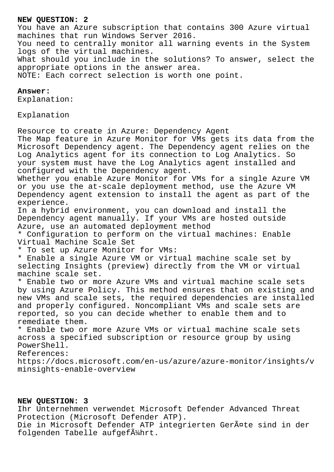## **NEW QUESTION: 2**

You have an Azure subscription that contains 300 Azure virtual machines that run Windows Server 2016. You need to centrally monitor all warning events in the System logs of the virtual machines. What should you include in the solutions? To answer, select the appropriate options in the answer area. NOTE: Each correct selection is worth one point.

### **Answer:**

Explanation:

Explanation

Resource to create in Azure: Dependency Agent The Map feature in Azure Monitor for VMs gets its data from the Microsoft Dependency agent. The Dependency agent relies on the Log Analytics agent for its connection to Log Analytics. So your system must have the Log Analytics agent installed and configured with the Dependency agent. Whether you enable Azure Monitor for VMs for a single Azure VM or you use the at-scale deployment method, use the Azure VM Dependency agent extension to install the agent as part of the experience. In a hybrid environment, you can download and install the Dependency agent manually. If your VMs are hosted outside Azure, use an automated deployment method \* Configuration to perform on the virtual machines: Enable Virtual Machine Scale Set \* To set up Azure Monitor for VMs: \* Enable a single Azure VM or virtual machine scale set by selecting Insights (preview) directly from the VM or virtual machine scale set. \* Enable two or more Azure VMs and virtual machine scale sets by using Azure Policy. This method ensures that on existing and new VMs and scale sets, the required dependencies are installed and properly configured. Noncompliant VMs and scale sets are reported, so you can decide whether to enable them and to remediate them. \* Enable two or more Azure VMs or virtual machine scale sets across a specified subscription or resource group by using PowerShell. References: https://docs.microsoft.com/en-us/azure/azure-monitor/insights/v minsights-enable-overview

# **NEW QUESTION: 3**

Ihr Unternehmen verwendet Microsoft Defender Advanced Threat Protection (Microsoft Defender ATP).

Die in Microsoft Defender ATP integrierten Geräte sind in der folgenden Tabelle aufgef $\tilde{A}$ 1/ahrt.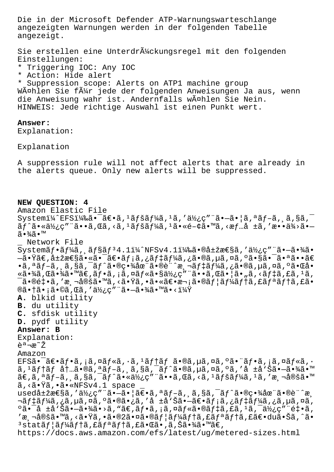Die in der Microsoft Defender ATP-Warnungswarteschlange angezeigten Warnungen werden in der folgenden Tabelle angezeigt.

Sie erstellen eine Unterdr $\tilde{A}$ %ckungsregel mit den folgenden Einstellungen:

- \* Triggering IOC: Any IOC
- \* Action: Hide alert

\* Suppression scope: Alerts on ATP1 machine group WĤhlen Sie fļr jede der folgenden Anweisungen Ja aus, wenn die Anweisung wahr ist. Andernfalls wählen Sie Nein. HINWEIS: Jede richtige Auswahl ist einen Punkt wert.

## **Answer:**

Explanation:

Explanation

A suppression rule will not affect alerts that are already in the alerts queue. Only new alerts will be suppressed.

#### **NEW QUESTION: 4**

Amazon Elastic File Systemi¼^EFSi¼‰ã•<sup>-</sup>〕ã,<sup>1</sup>ペãf¼ã,<sup>1</sup>ã,'使ç" d. -ã• |ã,ªãƒ-ã, ¸ã,§ã,<sup>-</sup>  $\tilde{a}f$ ^㕫使ç"¨ã••ã,Œã,‹ã,<sup>1</sup>ãfšãf¼ã,<sup>1</sup>㕫関㕙ã,<æf…å ±ã,'æ••ä¾>ã•–  $ilde{\sigma}$  $\frac{3}{4}$  $\tilde{\sigma}$   $\bullet$   $\mathbb{M}$ \_ Network File  $System\tilde{a}_f \cdot \tilde{a}_f$ ¼ $\tilde{a}_f$ ,  $\tilde{a}_f$ § $\tilde{a}_f$ <sup>3</sup>4.1 $i$ ¼^NNFSv4.1 $i$ ¼‰ $\tilde{a} \cdot \tilde{a}_f$ à $\tilde{a}_f$  / $\tilde{a}_f$ ½ $\tilde{c}$  /" $\tilde{a}_f$  · $\tilde{a}_f$  / $\tilde{a}_f$  $-\tilde{a}$ •Ÿã $\epsilon$ ,属æ $\epsilon$ §ã•«ã•¯ã $\epsilon$ •ã $f$ ¡ã,¿ã $f$ ‡ã $f$ ¼ã,¿ã•®ã,µã,¤ã,ºã•§ã•¯ã•ªã••ã $\epsilon$ •ã,ªãƒ-ã,¸ã,§ã,¯ãƒ^㕮畾在ã•®è¨^測デーã,¿ã•®ã,µã,¤ã,ºã•Œå•  $\ast$ 㕾ã,Œã•¾ã•™ã€,フã,¡ã,¤ãƒ«ã•§ä½¿ç"¨ã••ã,Œã•]ã•"ã,≺デã,£ã,±ã,  $\tilde{\mathsf{a}}$ •®é $\sharp$ •ã, '測定ã•™ã, ‹ã•Ÿã, •㕫〕次ã•®ã $f$ |ã $f$ ¼ã $f$ †ã, £ã $f$ ªã $f$ †ã, £ã• ®ã•†ã•¡ã•©ã,Œã,′使ç″¨ã•—㕾ã•™ã•<? **A.** blkid utility **B.** du utility **C.** sfdisk utility **D.** pydf utility **Answer: B** Explanation: 説æ~ž Amazon  $EFS\tilde{a}$ • $\tilde{a}f$ • $\tilde{a}$ ,  $\tilde{a}$ ,  $\tilde{a}f\tilde{a}f\tilde{a}$ ,  $\tilde{a}$ ,  $\tilde{a}f\tilde{a}f\tilde{a}f$   $\tilde{a}$ ,  $\tilde{a}g\tilde{a}$ ,  $\tilde{a}g\tilde{a}f\tilde{a}$ ,  $\tilde{a}gf\tilde{a}$ ,  $\tilde{a}gf\tilde{a}$ ,  $\tilde{a}gf\tilde{a}$ ,  $\tilde{a}gf\tilde{a}$ , ã, <sup>ı</sup>テム内ã•®ã, ªãƒ–ã, ¸ã,§ã,¯ãƒ^ã•®ã,µã,¤ã,ºã,′å ±å'Šã•—㕾ã•™  $\tilde{a} \in \tilde{a}$ ,  $\tilde{a} f - \tilde{a} f$ ,  $\tilde{a} g - \tilde{a} f - \tilde{a} f$ ,  $\tilde{a} g - \tilde{a} g$ ,  $\tilde{a} g - \tilde{a} g$ ,  $\tilde{a} g - \tilde{a} g$ ,  $\tilde{a} g - \tilde{a} g$ ,  $\tilde{a} g - \tilde{a} g$ ,  $\tilde{a} g - \tilde{a} g$ ,  $\tilde{a} g - \tilde{a} g$ ,  $\tilde{a} g - \tilde{a} g$ ,  $\tilde{$ ã, <ã.Ÿã, ·ã. «NFSv4.1 space usedå $\pm$ žæ $\epsilon$ §ã,'使ç"¨ã•-㕦ã $\epsilon$ •ã,ªãƒ-ã,¸ã,§ã,¯ãƒ^㕮畾在ã•®è¨^æ¸ ‹ƒ‡ãƒ¼ã,¿ã,µã,¤ã,ºã•®ã•¿ã,′å ±å'Šã•—〕メã,¿ãƒ‡ãƒ¼ã,¿ã,µã,¤ã,  $\alpha$ ã•̄å  $\pm$ å $\alpha$ ðã• $\alpha$ •㕾ã•>ã, ʰã $\epsilon$ , ã $f$ •ã, ¡ã, ¤ã $f$ «ã•®ã $f$ ‡ã, £ã,  $\alpha$ ã, ¯ä½çç″ ¨é $\pm$ •ã, 'æຸ¬å®šã•™ã,<㕟ã,•ã•®2㕤㕮ユーテã,£ãƒªãƒ†ã,£ã€•du㕊ã,^ã•  $3$ statã $f$ |ã $f$ ¼ã $f$ tã,£ã $f$ ªã $f$ tã,£ã•Œã•,ã,Šã•¾ã•™ã $\epsilon$ , https://docs.aws.amazon.com/efs/latest/ug/metered-sizes.html